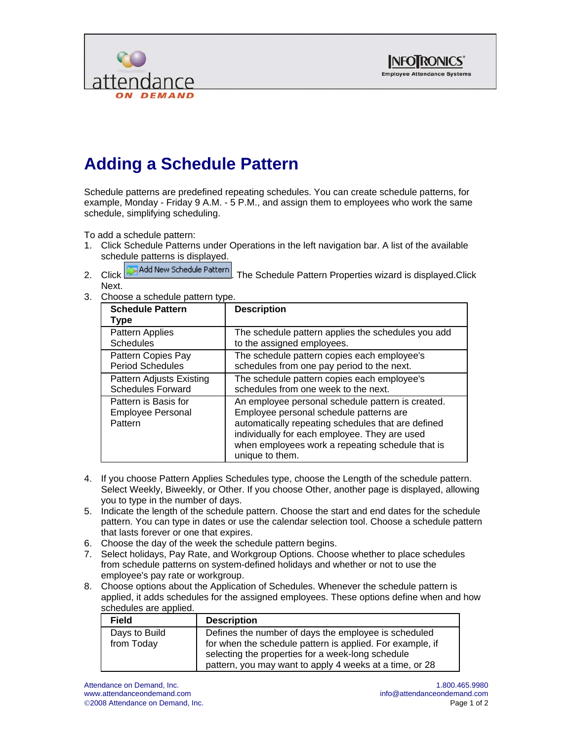



## **Adding a Schedule Pattern**

Schedule patterns are predefined repeating schedules. You can create schedule patterns, for example, Monday - Friday 9 A.M. - 5 P.M., and assign them to employees who work the same schedule, simplifying scheduling.

To add a schedule pattern:

- 1. Click Schedule Patterns under Operations in the left navigation bar. A list of the available schedule patterns is displayed.
- 2. Click **. The Schedule Pattern** The Schedule Pattern Properties wizard is displayed.Click Next.
- 3. Choose a schedule pattern type.

| <b>Schedule Pattern</b><br>Type                             | <b>Description</b>                                                                                                                                                                                                                                                         |
|-------------------------------------------------------------|----------------------------------------------------------------------------------------------------------------------------------------------------------------------------------------------------------------------------------------------------------------------------|
| Pattern Applies                                             | The schedule pattern applies the schedules you add                                                                                                                                                                                                                         |
| <b>Schedules</b>                                            | to the assigned employees.                                                                                                                                                                                                                                                 |
| Pattern Copies Pay                                          | The schedule pattern copies each employee's                                                                                                                                                                                                                                |
| <b>Period Schedules</b>                                     | schedules from one pay period to the next.                                                                                                                                                                                                                                 |
| Pattern Adjusts Existing                                    | The schedule pattern copies each employee's                                                                                                                                                                                                                                |
| <b>Schedules Forward</b>                                    | schedules from one week to the next.                                                                                                                                                                                                                                       |
| Pattern is Basis for<br><b>Employee Personal</b><br>Pattern | An employee personal schedule pattern is created.<br>Employee personal schedule patterns are<br>automatically repeating schedules that are defined<br>individually for each employee. They are used<br>when employees work a repeating schedule that is<br>unique to them. |

- 4. If you choose Pattern Applies Schedules type, choose the Length of the schedule pattern. Select Weekly, Biweekly, or Other. If you choose Other, another page is displayed, allowing you to type in the number of days.
- 5. Indicate the length of the schedule pattern. Choose the start and end dates for the schedule pattern. You can type in dates or use the calendar selection tool. Choose a schedule pattern that lasts forever or one that expires.
- 6. Choose the day of the week the schedule pattern begins.
- 7. Select holidays, Pay Rate, and Workgroup Options. Choose whether to place schedules from schedule patterns on system-defined holidays and whether or not to use the employee's pay rate or workgroup.
- 8. Choose options about the Application of Schedules. Whenever the schedule pattern is applied, it adds schedules for the assigned employees. These options define when and how schedules are applied.

| <b>Field</b>                | <b>Description</b>                                                                                                                                                                                                                |
|-----------------------------|-----------------------------------------------------------------------------------------------------------------------------------------------------------------------------------------------------------------------------------|
| Days to Build<br>from Today | Defines the number of days the employee is scheduled<br>for when the schedule pattern is applied. For example, if<br>selecting the properties for a week-long schedule<br>pattern, you may want to apply 4 weeks at a time, or 28 |